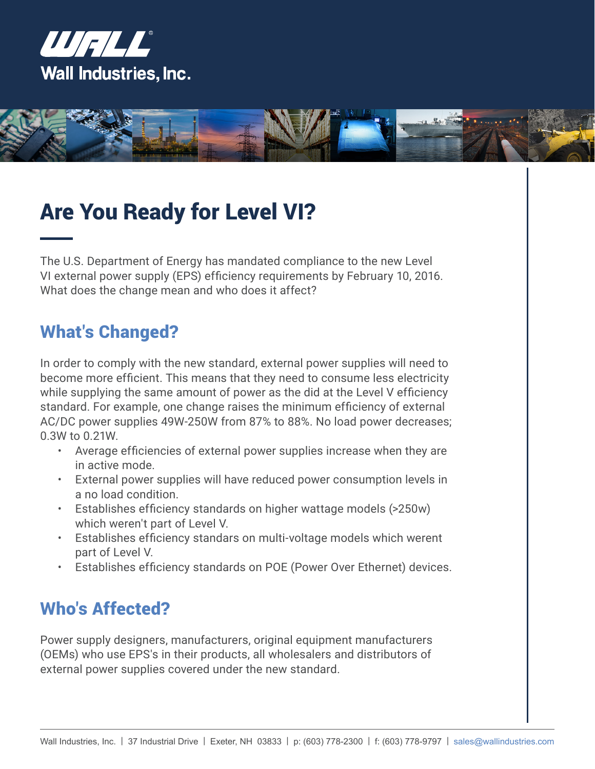



# Are You Ready for Level VI?

The U.S. Department of Energy has mandated compliance to the new Level VI external power supply (EPS) efficiency requirements by February 10, 2016. What does the change mean and who does it affect?

#### What's Changed?

In order to comply with the new standard, external power supplies will need to become more efficient. This means that they need to consume less electricity while supplying the same amount of power as the did at the Level V efficiency standard. For example, one change raises the minimum efficiency of external AC/DC power supplies 49W-250W from 87% to 88%. No load power decreases; 0.3W to 0.21W.

- Average efficiencies of external power supplies increase when they are in active mode.
- External power supplies will have reduced power consumption levels in a no load condition.
- Establishes efficiency standards on higher wattage models (>250w) which weren't part of Level V.
- Establishes efficiency standars on multi-voltage models which werent part of Level V.
- Establishes efficiency standards on POE (Power Over Ethernet) devices.

#### Who's Affected?

Power supply designers, manufacturers, original equipment manufacturers (OEMs) who use EPS's in their products, all wholesalers and distributors of external power supplies covered under the new standard.